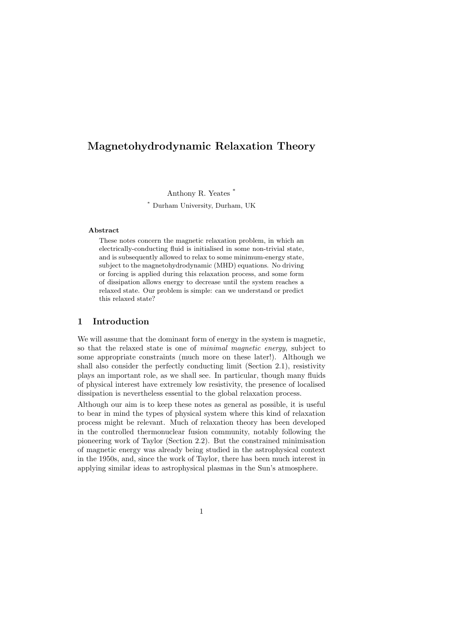# Magnetohydrodynamic Relaxation Theory

Anthony R. Yeates \*

\* Durham University, Durham, UK

#### Abstract

These notes concern the magnetic relaxation problem, in which an electrically-conducting fluid is initialised in some non-trivial state, and is subsequently allowed to relax to some minimum-energy state, subject to the magnetohydrodynamic (MHD) equations. No driving or forcing is applied during this relaxation process, and some form of dissipation allows energy to decrease until the system reaches a relaxed state. Our problem is simple: can we understand or predict this relaxed state?

# 1 Introduction

We will assume that the dominant form of energy in the system is magnetic, so that the relaxed state is one of minimal magnetic energy, subject to some appropriate constraints (much more on these later!). Although we shall also consider the perfectly conducting limit (Section 2.1), resistivity plays an important role, as we shall see. In particular, though many fluids of physical interest have extremely low resistivity, the presence of localised dissipation is nevertheless essential to the global relaxation process.

Although our aim is to keep these notes as general as possible, it is useful to bear in mind the types of physical system where this kind of relaxation process might be relevant. Much of relaxation theory has been developed in the controlled thermonuclear fusion community, notably following the pioneering work of Taylor (Section 2.2). But the constrained minimisation of magnetic energy was already being studied in the astrophysical context in the 1950s, and, since the work of Taylor, there has been much interest in applying similar ideas to astrophysical plasmas in the Sun's atmosphere.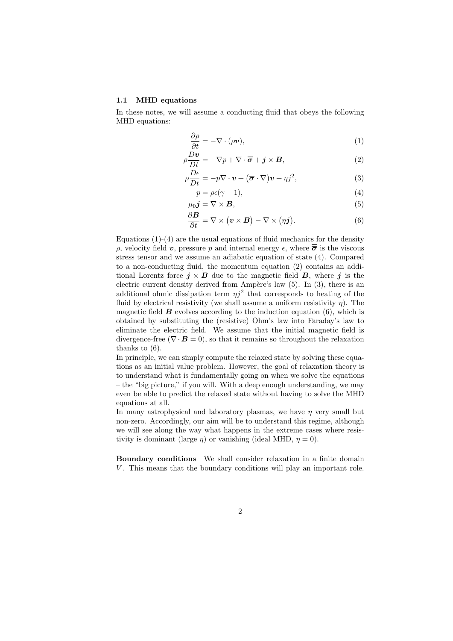#### 1.1 MHD equations

In these notes, we will assume a conducting fluid that obeys the following MHD equations:

$$
\frac{\partial \rho}{\partial t} = -\nabla \cdot (\rho \mathbf{v}),\tag{1}
$$

$$
\rho \frac{Dv}{Dt} = -\nabla p + \nabla \cdot \overline{\overline{\sigma}} + j \times \overline{B}, \qquad (2)
$$

$$
\rho \frac{D\epsilon}{Dt} = -p \nabla \cdot \mathbf{v} + (\overline{\overline{\boldsymbol{\sigma}}} \cdot \nabla) \mathbf{v} + \eta j^2, \tag{3}
$$

$$
p = \rho \epsilon (\gamma - 1), \tag{4}
$$

$$
\mu_0 \mathbf{j} = \nabla \times \mathbf{B},\tag{5}
$$

$$
\frac{\partial \mathbf{B}}{\partial t} = \nabla \times (\mathbf{v} \times \mathbf{B}) - \nabla \times (\eta \mathbf{j}). \tag{6}
$$

Equations  $(1)-(4)$  are the usual equations of fluid mechanics for the density ρ, velocity field **v**, pressure p and internal energy  $\epsilon$ , where  $\overline{\overline{\sigma}}$  is the viscous stress tensor and we assume an adiabatic equation of state (4). Compared to a non-conducting fluid, the momentum equation (2) contains an additional Lorentz force  $j \times B$  due to the magnetic field B, where j is the electric current density derived from Ampère's law  $(5)$ . In  $(3)$ , there is an additional ohmic dissipation term  $\eta j^2$  that corresponds to heating of the fluid by electrical resistivity (we shall assume a uniform resistivity  $\eta$ ). The magnetic field  $\boldsymbol{B}$  evolves according to the induction equation (6), which is obtained by substituting the (resistive) Ohm's law into Faraday's law to eliminate the electric field. We assume that the initial magnetic field is divergence-free ( $\nabla \cdot \mathbf{B} = 0$ ), so that it remains so throughout the relaxation thanks to (6).

In principle, we can simply compute the relaxed state by solving these equations as an initial value problem. However, the goal of relaxation theory is to understand what is fundamentally going on when we solve the equations – the "big picture," if you will. With a deep enough understanding, we may even be able to predict the relaxed state without having to solve the MHD equations at all.

In many astrophysical and laboratory plasmas, we have  $\eta$  very small but non-zero. Accordingly, our aim will be to understand this regime, although we will see along the way what happens in the extreme cases where resistivity is dominant (large  $\eta$ ) or vanishing (ideal MHD,  $\eta = 0$ ).

Boundary conditions We shall consider relaxation in a finite domain  $V$ . This means that the boundary conditions will play an important role.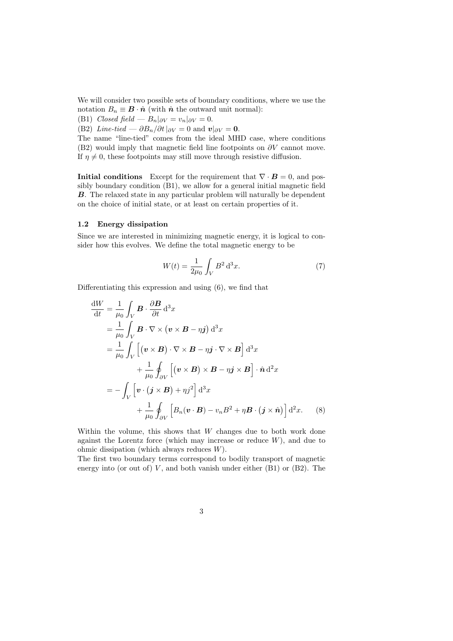We will consider two possible sets of boundary conditions, where we use the notation  $B_n \equiv \mathbf{B} \cdot \hat{\mathbf{n}}$  (with  $\hat{\mathbf{n}}$  the outward unit normal):

(B1) Closed field —  $B_n|_{\partial V} = v_n|_{\partial V} = 0.$ 

(B2) Line-tied —  $\partial B_n/\partial t|_{\partial V} = 0$  and  $v|_{\partial V} = 0$ .

The name "line-tied" comes from the ideal MHD case, where conditions (B2) would imply that magnetic field line footpoints on  $\partial V$  cannot move. If  $\eta \neq 0$ , these footpoints may still move through resistive diffusion.

Initial conditions Except for the requirement that  $\nabla \cdot \mathbf{B} = 0$ , and possibly boundary condition (B1), we allow for a general initial magnetic field B. The relaxed state in any particular problem will naturally be dependent on the choice of initial state, or at least on certain properties of it.

#### 1.2 Energy dissipation

Since we are interested in minimizing magnetic energy, it is logical to consider how this evolves. We define the total magnetic energy to be

$$
W(t) = \frac{1}{2\mu_0} \int_V B^2 \, \mathrm{d}^3 x. \tag{7}
$$

Differentiating this expression and using (6), we find that

$$
\frac{dW}{dt} = \frac{1}{\mu_0} \int_V \mathbf{B} \cdot \frac{\partial \mathbf{B}}{\partial t} d^3x
$$
  
\n
$$
= \frac{1}{\mu_0} \int_V \mathbf{B} \cdot \nabla \times (\mathbf{v} \times \mathbf{B} - \eta \mathbf{j}) d^3x
$$
  
\n
$$
= \frac{1}{\mu_0} \int_V [(\mathbf{v} \times \mathbf{B}) \cdot \nabla \times \mathbf{B} - \eta \mathbf{j} \cdot \nabla \times \mathbf{B}] d^3x
$$
  
\n
$$
+ \frac{1}{\mu_0} \oint_{\partial V} [(\mathbf{v} \times \mathbf{B}) \times \mathbf{B} - \eta \mathbf{j} \times \mathbf{B}] \cdot \hat{\mathbf{n}} d^2x
$$
  
\n
$$
= - \int_V [\mathbf{v} \cdot (\mathbf{j} \times \mathbf{B}) + \eta \mathbf{j}^2] d^3x
$$
  
\n
$$
+ \frac{1}{\mu_0} \oint_{\partial V} [B_n(\mathbf{v} \cdot \mathbf{B}) - v_n B^2 + \eta \mathbf{B} \cdot (\mathbf{j} \times \hat{\mathbf{n}})] d^2x. \quad (8)
$$

Within the volume, this shows that  $W$  changes due to both work done against the Lorentz force (which may increase or reduce  $W$ ), and due to ohmic dissipation (which always reduces W).

The first two boundary terms correspond to bodily transport of magnetic energy into (or out of)  $V$ , and both vanish under either  $(B1)$  or  $(B2)$ . The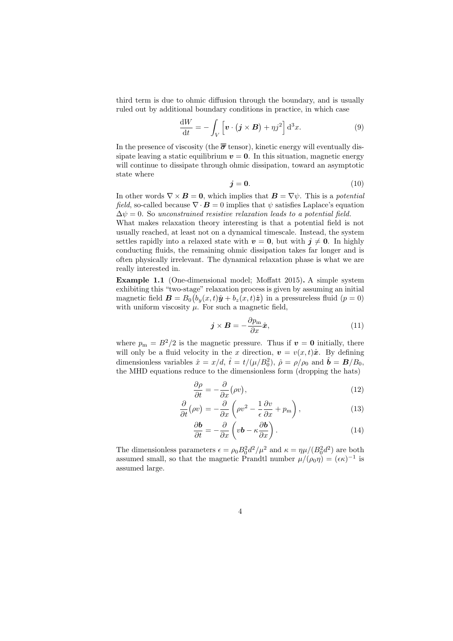third term is due to ohmic diffusion through the boundary, and is usually ruled out by additional boundary conditions in practice, in which case

$$
\frac{\mathrm{d}W}{\mathrm{d}t} = -\int_{V} \left[ \boldsymbol{v} \cdot (\boldsymbol{j} \times \boldsymbol{B}) + \eta j^{2} \right] \mathrm{d}^{3}x. \tag{9}
$$

In the presence of viscosity (the  $\overline{\sigma}$  tensor), kinetic energy will eventually dissipate leaving a static equilibrium  $v = 0$ . In this situation, magnetic energy will continue to dissipate through ohmic dissipation, toward an asymptotic state where

$$
\mathbf{j} = \mathbf{0}.\tag{10}
$$

In other words  $\nabla \times \mathbf{B} = \mathbf{0}$ , which implies that  $\mathbf{B} = \nabla \psi$ . This is a potential field, so-called because  $\nabla \cdot \mathbf{B} = 0$  implies that  $\psi$  satisfies Laplace's equation  $\Delta \psi = 0$ . So unconstrained resistive relaxation leads to a potential field.

What makes relaxation theory interesting is that a potential field is not usually reached, at least not on a dynamical timescale. Instead, the system settles rapidly into a relaxed state with  $v = 0$ , but with  $j \neq 0$ . In highly conducting fluids, the remaining ohmic dissipation takes far longer and is often physically irrelevant. The dynamical relaxation phase is what we are really interested in.

Example 1.1 (One-dimensional model; Moffatt 2015). A simple system exhibiting this "two-stage" relaxation process is given by assuming an initial magnetic field  $\mathbf{B} = B_0 (b_y(x, t)\hat{y} + b_z(x, t)\hat{z})$  in a pressureless fluid  $(p = 0)$ with uniform viscosity  $\mu$ . For such a magnetic field,

$$
\boldsymbol{j} \times \boldsymbol{B} = -\frac{\partial p_{\rm m}}{\partial x} \hat{\boldsymbol{x}},\tag{11}
$$

where  $p_m = B^2/2$  is the magnetic pressure. Thus if  $v = 0$  initially, there will only be a fluid velocity in the x direction,  $\mathbf{v} = v(x, t)\hat{\mathbf{x}}$ . By defining dimensionless variables  $\hat{x} = x/d$ ,  $\hat{t} = t/(\mu/B_0^2)$ ,  $\hat{\rho} = \rho/\rho_0$  and  $\hat{\mathbf{b}} = \mathbf{B}/B_0$ , the MHD equations reduce to the dimensionless form (dropping the hats)

$$
\frac{\partial \rho}{\partial t} = -\frac{\partial}{\partial x} (\rho v),\tag{12}
$$

$$
\frac{\partial}{\partial t}(\rho v) = -\frac{\partial}{\partial x}\left(\rho v^2 - \frac{1}{\epsilon}\frac{\partial v}{\partial x} + p_{\rm m}\right),\tag{13}
$$

$$
\frac{\partial \mathbf{b}}{\partial t} = -\frac{\partial}{\partial x} \left( v\mathbf{b} - \kappa \frac{\partial \mathbf{b}}{\partial x} \right). \tag{14}
$$

The dimensionless parameters  $\epsilon = \rho_0 B_0^2 d^2 / \mu^2$  and  $\kappa = \eta \mu / (B_0^2 d^2)$  are both assumed small, so that the magnetic Prandtl number  $\mu/(\rho_0 \eta) = (\epsilon \kappa)^{-1}$  is assumed large.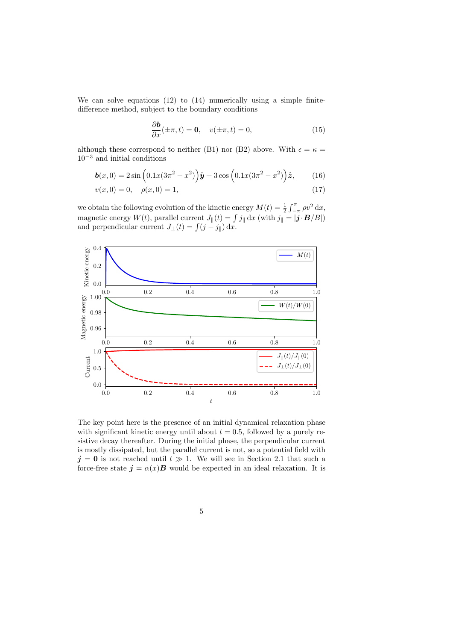We can solve equations (12) to (14) numerically using a simple finitedifference method, subject to the boundary conditions

$$
\frac{\partial \mathbf{b}}{\partial x}(\pm \pi, t) = \mathbf{0}, \quad v(\pm \pi, t) = 0,
$$
\n(15)

although these correspond to neither (B1) nor (B2) above. With  $\epsilon = \kappa =$  $10^{-3}$  and initial conditions

$$
\boldsymbol{b}(x,0) = 2\sin\left(0.1x(3\pi^2 - x^2)\right)\hat{\boldsymbol{y}} + 3\cos\left(0.1x(3\pi^2 - x^2)\right)\hat{\boldsymbol{z}},\qquad(16)
$$

$$
v(x,0) = 0, \quad \rho(x,0) = 1,\tag{17}
$$

we obtain the following evolution of the kinetic energy  $M(t) = \frac{1}{2} \int_{-\pi}^{\pi} \rho v^2 dx$ , magnetic energy  $W(t)$ , parallel current  $J_{\parallel}(t) = \int j_{\parallel} dx$  (with  $j_{\parallel} = |\mathbf{j} \cdot \mathbf{B}/B|$ ) and perpendicular current  $J_{\perp}(t) = \int (j - j_{\parallel}) dx$ .



The key point here is the presence of an initial dynamical relaxation phase with significant kinetic energy until about  $t = 0.5$ , followed by a purely resistive decay thereafter. During the initial phase, the perpendicular current is mostly dissipated, but the parallel current is not, so a potential field with  $j = 0$  is not reached until  $t \gg 1$ . We will see in Section 2.1 that such a force-free state  $\mathbf{j} = \alpha(x) \mathbf{B}$  would be expected in an ideal relaxation. It is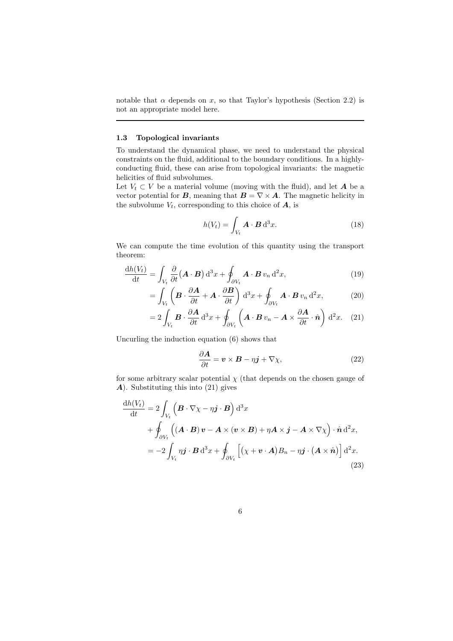notable that  $\alpha$  depends on x, so that Taylor's hypothesis (Section 2.2) is not an appropriate model here.

## 1.3 Topological invariants

To understand the dynamical phase, we need to understand the physical constraints on the fluid, additional to the boundary conditions. In a highlyconducting fluid, these can arise from topological invariants: the magnetic helicities of fluid subvolumes.

Let  $V_t \subset V$  be a material volume (moving with the fluid), and let **A** be a vector potential for **B**, meaning that  $\mathbf{B} = \nabla \times \mathbf{A}$ . The magnetic helicity in the subvolume  $V_t$ , corresponding to this choice of  $A$ , is

$$
h(V_t) = \int_{V_t} \mathbf{A} \cdot \mathbf{B} \, \mathrm{d}^3 x. \tag{18}
$$

We can compute the time evolution of this quantity using the transport theorem:

$$
\frac{\mathrm{d}h(V_t)}{\mathrm{d}t} = \int_{V_t} \frac{\partial}{\partial t} \left( \mathbf{A} \cdot \mathbf{B} \right) \mathrm{d}^3 x + \oint_{\partial V_t} \mathbf{A} \cdot \mathbf{B} \, v_n \, \mathrm{d}^2 x,\tag{19}
$$

$$
= \int_{V_t} \left( \boldsymbol{B} \cdot \frac{\partial \boldsymbol{A}}{\partial t} + \boldsymbol{A} \cdot \frac{\partial \boldsymbol{B}}{\partial t} \right) d^3x + \oint_{\partial V_t} \boldsymbol{A} \cdot \boldsymbol{B} \, v_n \, d^2x, \tag{20}
$$

$$
=2\int_{V_t}\boldsymbol{B}\cdot\frac{\partial \boldsymbol{A}}{\partial t}\,\mathrm{d}^3x+\oint_{\partial V_t}\left(\boldsymbol{A}\cdot\boldsymbol{B}\,v_n-\boldsymbol{A}\times\frac{\partial \boldsymbol{A}}{\partial t}\cdot\hat{\boldsymbol{n}}\right)\,\mathrm{d}^2x.\tag{21}
$$

Uncurling the induction equation (6) shows that

$$
\frac{\partial \mathbf{A}}{\partial t} = \mathbf{v} \times \mathbf{B} - \eta \mathbf{j} + \nabla \chi,\tag{22}
$$

for some arbitrary scalar potential  $\chi$  (that depends on the chosen gauge of A). Substituting this into (21) gives

$$
\frac{dh(V_t)}{dt} = 2 \int_{V_t} \left( \mathbf{B} \cdot \nabla \chi - \eta \mathbf{j} \cdot \mathbf{B} \right) d^3x \n+ \oint_{\partial V_t} \left( (\mathbf{A} \cdot \mathbf{B}) \mathbf{v} - \mathbf{A} \times (\mathbf{v} \times \mathbf{B}) + \eta \mathbf{A} \times \mathbf{j} - \mathbf{A} \times \nabla \chi \right) \cdot \hat{\mathbf{n}} d^2x, \n= -2 \int_{V_t} \eta \mathbf{j} \cdot \mathbf{B} d^3x + \oint_{\partial V_t} \left[ (\chi + \mathbf{v} \cdot \mathbf{A}) B_n - \eta \mathbf{j} \cdot (\mathbf{A} \times \hat{\mathbf{n}}) \right] d^2x.
$$
\n(23)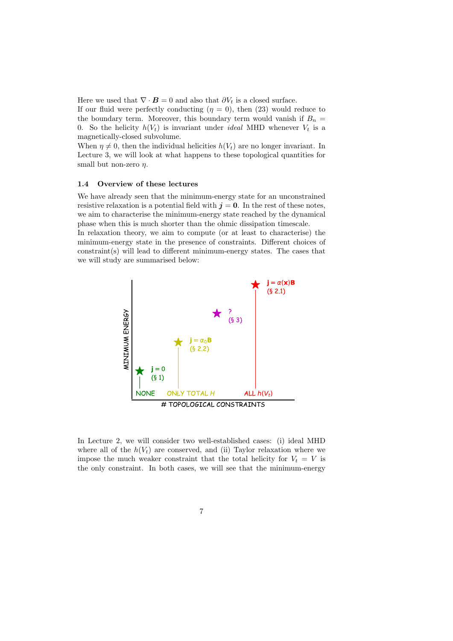Here we used that  $\nabla \cdot \mathbf{B} = 0$  and also that  $\partial V_t$  is a closed surface.

If our fluid were perfectly conducting  $(\eta = 0)$ , then (23) would reduce to the boundary term. Moreover, this boundary term would vanish if  $B_n =$ 0. So the helicity  $h(V_t)$  is invariant under *ideal* MHD whenever  $V_t$  is a magnetically-closed subvolume.

When  $\eta \neq 0$ , then the individual helicities  $h(V_t)$  are no longer invariant. In Lecture 3, we will look at what happens to these topological quantities for small but non-zero  $n$ .

#### 1.4 Overview of these lectures

We have already seen that the minimum-energy state for an unconstrained resistive relaxation is a potential field with  $j = 0$ . In the rest of these notes, we aim to characterise the minimum-energy state reached by the dynamical phase when this is much shorter than the ohmic dissipation timescale. In relaxation theory, we aim to compute (or at least to characterise) the

minimum-energy state in the presence of constraints. Different choices of constraint(s) will lead to different minimum-energy states. The cases that we will study are summarised below:



In Lecture 2, we will consider two well-established cases: (i) ideal MHD where all of the  $h(V_t)$  are conserved, and (ii) Taylor relaxation where we impose the much weaker constraint that the total helicity for  $V_t = V$  is the only constraint. In both cases, we will see that the minimum-energy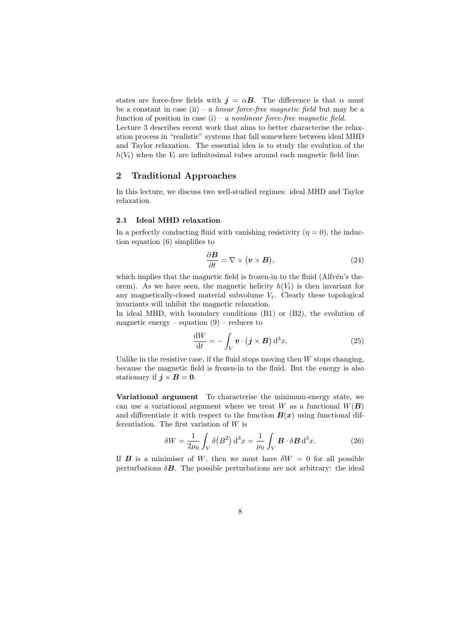states are force-free fields with  $j = \alpha B$ . The difference is that  $\alpha$  must be a constant in case (ii) – a *linear force-free magnetic field* but may be a function of position in case  $(i)$  – a nonlinear force-free magnetic field. Lecture 3 describes recent work that aims to better characterise the relax-

ation process in "realistic" systems that fall somewhere between ideal MHD and Taylor relaxation. The essential idea is to study the evolution of the  $h(V_t)$  when the  $V_t$  are infinitesimal tubes around each magnetic field line.

# 2 Traditional Approaches

In this lecture, we discuss two well-studied regimes: ideal MHD and Taylor relaxation.

# 2.1 Ideal MHD relaxation

In a perfectly conducting fluid with vanishing resistivity  $(\eta = 0)$ , the induction equation (6) simplifies to

$$
\frac{\partial \mathbf{B}}{\partial t} = \nabla \times (\mathbf{v} \times \mathbf{B}),\tag{24}
$$

which implies that the magnetic field is frozen-in to the fluid  $(AIfvén's the$ orem). As we have seen, the magnetic helicity  $h(V_t)$  is then invariant for any magnetically-closed material subvolume  $V_t$ . Clearly these topological invariants will inhibit the magnetic relaxation.

In ideal MHD, with boundary conditions (B1) or (B2), the evolution of magnetic energy – equation  $(9)$  – reduces to

$$
\frac{\mathrm{d}W}{\mathrm{d}t} = -\int_{V} \boldsymbol{v} \cdot (\boldsymbol{j} \times \boldsymbol{B}) \, \mathrm{d}^{3}x. \tag{25}
$$

Unlike in the resistive case, if the fluid stops moving then  $W$  stops changing, because the magnetic field is frozen-in to the fluid. But the energy is also stationary if  $j \times B = 0$ .

Variational argument To characterise the minimum-energy state, we can use a variational argument where we treat W as a functional  $W(B)$ and differentiate it with respect to the function  $B(x)$  using functional differentiation. The first variation of W is

$$
\delta W = \frac{1}{2\mu_0} \int_V \delta(B^2) d^3x = \frac{1}{\mu_0} \int_V \boldsymbol{B} \cdot \delta \boldsymbol{B} d^3x.
$$
 (26)

If **B** is a minimiser of W, then we must have  $\delta W = 0$  for all possible perturbations  $\delta$ **B**. The possible perturbations are not arbitrary: the ideal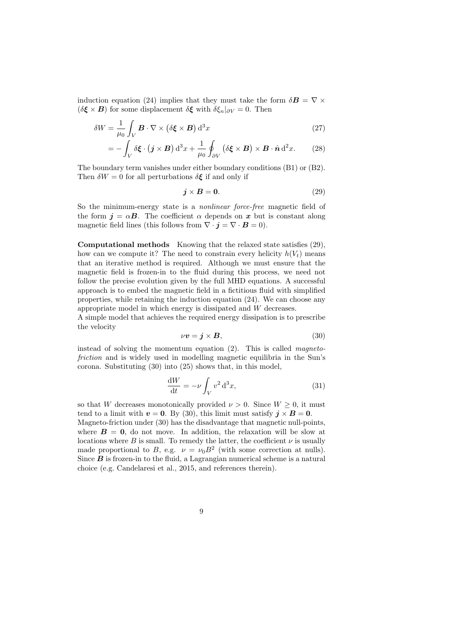induction equation (24) implies that they must take the form  $\delta \mathbf{B} = \nabla \times$  $(\delta \xi \times B)$  for some displacement  $\delta \xi$  with  $\delta \xi_n|_{\partial V} = 0$ . Then

$$
\delta W = \frac{1}{\mu_0} \int_V \boldsymbol{B} \cdot \nabla \times (\delta \boldsymbol{\xi} \times \boldsymbol{B}) d^3 x \tag{27}
$$

$$
= -\int_{V} \delta \boldsymbol{\xi} \cdot (\boldsymbol{j} \times \boldsymbol{B}) d^{3}x + \frac{1}{\mu_{0}} \oint_{\partial V} (\delta \boldsymbol{\xi} \times \boldsymbol{B}) \times \boldsymbol{B} \cdot \hat{\boldsymbol{n}} d^{2}x. \tag{28}
$$

The boundary term vanishes under either boundary conditions (B1) or (B2). Then  $\delta W = 0$  for all perturbations  $\delta \xi$  if and only if

$$
\mathbf{j} \times \mathbf{B} = \mathbf{0}.\tag{29}
$$

So the minimum-energy state is a *nonlinear force-free* magnetic field of the form  $\mathbf{j} = \alpha \mathbf{B}$ . The coefficient  $\alpha$  depends on x but is constant along magnetic field lines (this follows from  $\nabla \cdot \mathbf{j} = \nabla \cdot \mathbf{B} = 0$ ).

Computational methods Knowing that the relaxed state satisfies (29), how can we compute it? The need to constrain every helicity  $h(V_t)$  means that an iterative method is required. Although we must ensure that the magnetic field is frozen-in to the fluid during this process, we need not follow the precise evolution given by the full MHD equations. A successful approach is to embed the magnetic field in a fictitious fluid with simplified properties, while retaining the induction equation (24). We can choose any appropriate model in which energy is dissipated and W decreases.

A simple model that achieves the required energy dissipation is to prescribe the velocity

$$
\nu v = \mathbf{j} \times \mathbf{B},\tag{30}
$$

instead of solving the momentum equation (2). This is called magnetofriction and is widely used in modelling magnetic equilibria in the Sun's corona. Substituting (30) into (25) shows that, in this model,

$$
\frac{\mathrm{d}W}{\mathrm{d}t} = -\nu \int_{V} v^2 \, \mathrm{d}^3 x,\tag{31}
$$

so that W decreases monotonically provided  $\nu > 0$ . Since  $W \geq 0$ , it must tend to a limit with  $v = 0$ . By (30), this limit must satisfy  $j \times B = 0$ .

Magneto-friction under (30) has the disadvantage that magnetic null-points, where  $B = 0$ , do not move. In addition, the relaxation will be slow at locations where  $B$  is small. To remedy the latter, the coefficient  $\nu$  is usually made proportional to B, e.g.  $\nu = \nu_0 B^2$  (with some correction at nulls). Since  $\boldsymbol{B}$  is frozen-in to the fluid, a Lagrangian numerical scheme is a natural choice (e.g. Candelaresi et al., 2015, and references therein).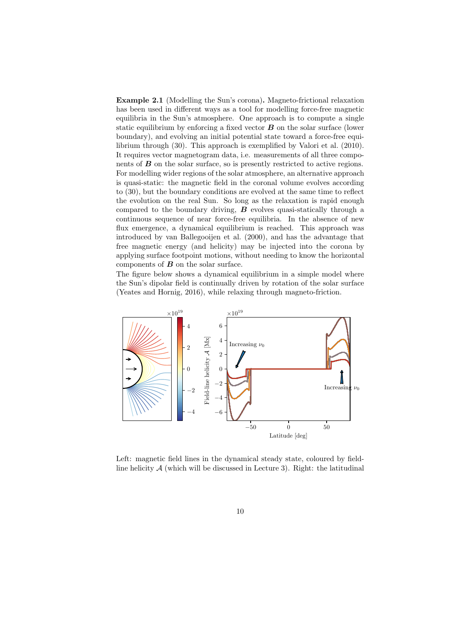Example 2.1 (Modelling the Sun's corona). Magneto-frictional relaxation has been used in different ways as a tool for modelling force-free magnetic equilibria in the Sun's atmosphere. One approach is to compute a single static equilibrium by enforcing a fixed vector  $\bf{B}$  on the solar surface (lower boundary), and evolving an initial potential state toward a force-free equilibrium through (30). This approach is exemplified by Valori et al. (2010). It requires vector magnetogram data, i.e. measurements of all three components of  $\boldsymbol{B}$  on the solar surface, so is presently restricted to active regions. For modelling wider regions of the solar atmosphere, an alternative approach is quasi-static: the magnetic field in the coronal volume evolves according to (30), but the boundary conditions are evolved at the same time to reflect the evolution on the real Sun. So long as the relaxation is rapid enough compared to the boundary driving,  $B$  evolves quasi-statically through a continuous sequence of near force-free equilibria. In the absence of new flux emergence, a dynamical equilibrium is reached. This approach was introduced by van Ballegooijen et al. (2000), and has the advantage that free magnetic energy (and helicity) may be injected into the corona by applying surface footpoint motions, without needing to know the horizontal components of  $\boldsymbol{B}$  on the solar surface.

The figure below shows a dynamical equilibrium in a simple model where the Sun's dipolar field is continually driven by rotation of the solar surface (Yeates and Hornig, 2016), while relaxing through magneto-friction.



Left: magnetic field lines in the dynamical steady state, coloured by fieldline helicity  $A$  (which will be discussed in Lecture 3). Right: the latitudinal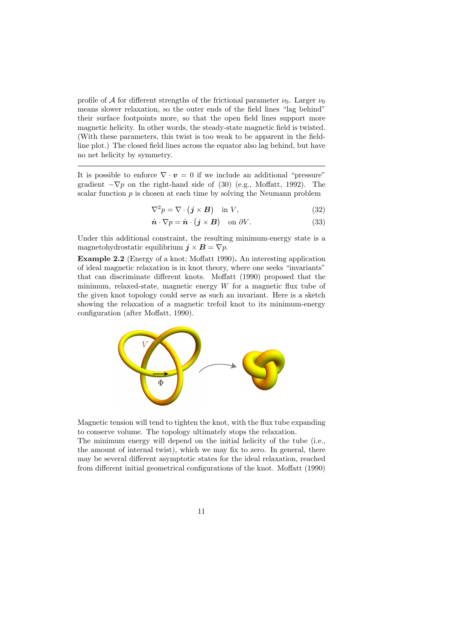profile of A for different strengths of the frictional parameter  $\nu_0$ . Larger  $\nu_0$ means slower relaxation, so the outer ends of the field lines "lag behind" their surface footpoints more, so that the open field lines support more magnetic helicity. In other words, the steady-state magnetic field is twisted. (With these parameters, this twist is too weak to be apparent in the fieldline plot.) The closed field lines across the equator also lag behind, but have no net helicity by symmetry.

It is possible to enforce  $\nabla \cdot \mathbf{v} = 0$  if we include an additional "pressure" gradient  $-\nabla p$  on the right-hand side of (30) (e.g., Moffatt, 1992). The scalar function  $p$  is chosen at each time by solving the Neumann problem

$$
\nabla^2 p = \nabla \cdot (\mathbf{j} \times \mathbf{B}) \quad \text{in } V,\tag{32}
$$

$$
\hat{\boldsymbol{n}} \cdot \nabla p = \hat{\boldsymbol{n}} \cdot (\boldsymbol{j} \times \boldsymbol{B}) \quad \text{on } \partial V. \tag{33}
$$

Under this additional constraint, the resulting minimum-energy state is a magnetohydrostatic equilibrium  $j \times B = \nabla p$ .

Example 2.2 (Energy of a knot; Moffatt 1990). An interesting application of ideal magnetic relaxation is in knot theory, where one seeks "invariants" that can discriminate different knots. Moffatt (1990) proposed that the minimum, relaxed-state, magnetic energy  $W$  for a magnetic flux tube of the given knot topology could serve as such an invariant. Here is a sketch showing the relaxation of a magnetic trefoil knot to its minimum-energy configuration (after Moffatt, 1990).



Magnetic tension will tend to tighten the knot, with the flux tube expanding to conserve volume. The topology ultimately stops the relaxation.

The minimum energy will depend on the initial helicity of the tube (i.e., the amount of internal twist), which we may fix to zero. In general, there may be several different asymptotic states for the ideal relaxation, reached from different initial geometrical configurations of the knot. Moffatt (1990)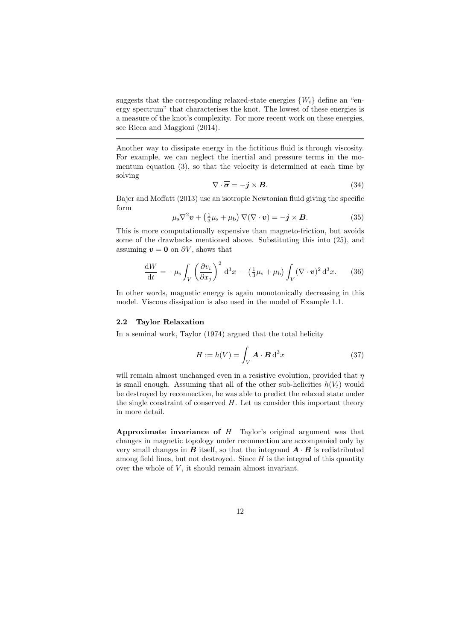suggests that the corresponding relaxed-state energies  $\{W_i\}$  define an "energy spectrum" that characterises the knot. The lowest of these energies is a measure of the knot's complexity. For more recent work on these energies, see Ricca and Maggioni (2014).

Another way to dissipate energy in the fictitious fluid is through viscosity. For example, we can neglect the inertial and pressure terms in the momentum equation (3), so that the velocity is determined at each time by solving

$$
\nabla \cdot \overline{\overline{\sigma}} = -\mathbf{j} \times \mathbf{B}.\tag{34}
$$

Bajer and Moffatt (2013) use an isotropic Newtonian fluid giving the specific form

$$
\mu_{\rm s} \nabla^2 \boldsymbol{v} + \left(\frac{1}{3}\mu_{\rm s} + \mu_{\rm b}\right) \nabla(\nabla \cdot \boldsymbol{v}) = -\boldsymbol{j} \times \boldsymbol{B}.
$$
 (35)

This is more computationally expensive than magneto-friction, but avoids some of the drawbacks mentioned above. Substituting this into (25), and assuming  $v = 0$  on  $\partial V$ , shows that

$$
\frac{\mathrm{d}W}{\mathrm{d}t} = -\mu_{\rm s} \int_V \left(\frac{\partial v_i}{\partial x_j}\right)^2 \mathrm{d}^3 x - \left(\frac{1}{3}\mu_{\rm s} + \mu_{\rm b}\right) \int_V (\nabla \cdot \mathbf{v})^2 \mathrm{d}^3 x. \tag{36}
$$

In other words, magnetic energy is again monotonically decreasing in this model. Viscous dissipation is also used in the model of Example 1.1.

#### 2.2 Taylor Relaxation

In a seminal work, Taylor (1974) argued that the total helicity

$$
H := h(V) = \int_{V} \mathbf{A} \cdot \mathbf{B} \, \mathrm{d}^3 x \tag{37}
$$

will remain almost unchanged even in a resistive evolution, provided that  $\eta$ is small enough. Assuming that all of the other sub-helicities  $h(V_t)$  would be destroyed by reconnection, he was able to predict the relaxed state under the single constraint of conserved  $H$ . Let us consider this important theory in more detail.

Approximate invariance of  $H$  Taylor's original argument was that changes in magnetic topology under reconnection are accompanied only by very small changes in  $\bf{B}$  itself, so that the integrand  $\bf{A} \cdot \bf{B}$  is redistributed among field lines, but not destroyed. Since  $H$  is the integral of this quantity over the whole of  $V$ , it should remain almost invariant.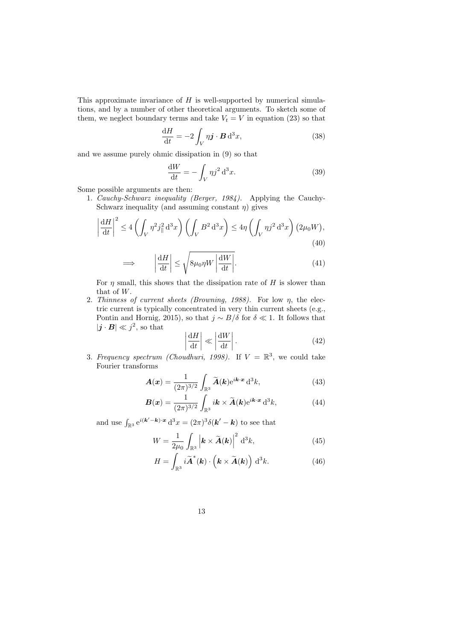This approximate invariance of  $H$  is well-supported by numerical simulations, and by a number of other theoretical arguments. To sketch some of them, we neglect boundary terms and take  $V_t = V$  in equation (23) so that

$$
\frac{\mathrm{d}H}{\mathrm{d}t} = -2 \int_{V} \eta \mathbf{j} \cdot \mathbf{B} \, \mathrm{d}^3 x,\tag{38}
$$

and we assume purely ohmic dissipation in (9) so that

$$
\frac{\mathrm{d}W}{\mathrm{d}t} = -\int_{V} \eta j^2 \,\mathrm{d}^3 x. \tag{39}
$$

Some possible arguments are then:

1. Cauchy-Schwarz inequality (Berger, 1984). Applying the Cauchy-Schwarz inequality (and assuming constant  $\eta$ ) gives

$$
\left|\frac{\mathrm{d}H}{\mathrm{d}t}\right|^2 \le 4\left(\int_V \eta^2 j_\parallel^2 \mathrm{d}^3 x\right) \left(\int_V B^2 \mathrm{d}^3 x\right) \le 4\eta \left(\int_V \eta j^2 \mathrm{d}^3 x\right) \left(2\mu_0 W\right),\tag{40}
$$

$$
\implies \left| \frac{\mathrm{d}H}{\mathrm{d}t} \right| \le \sqrt{8\mu_0 \eta W \left| \frac{\mathrm{d}W}{\mathrm{d}t} \right|}. \tag{41}
$$

For  $\eta$  small, this shows that the dissipation rate of H is slower than that of W.

2. Thinness of current sheets (Browning, 1988). For low  $\eta$ , the electric current is typically concentrated in very thin current sheets (e.g., Pontin and Hornig, 2015), so that  $j \sim B/\delta$  for  $\delta \ll 1$ . It follows that  $|\boldsymbol{j} \cdot \boldsymbol{B}| \ll j^2$ , so that

$$
\left|\frac{\mathrm{d}H}{\mathrm{d}t}\right| \ll \left|\frac{\mathrm{d}W}{\mathrm{d}t}\right|.\tag{42}
$$

3. Frequency spectrum (Choudhuri, 1998). If  $V = \mathbb{R}^3$ , we could take Fourier transforms

$$
\mathbf{A}(\boldsymbol{x}) = \frac{1}{(2\pi)^{3/2}} \int_{\mathbb{R}^3} \widetilde{\mathbf{A}}(\boldsymbol{k}) e^{i\boldsymbol{k}\cdot\boldsymbol{x}} d^3\boldsymbol{k},\tag{43}
$$

$$
\boldsymbol{B}(\boldsymbol{x}) = \frac{1}{(2\pi)^{3/2}} \int_{\mathbb{R}^3} i\boldsymbol{k} \times \widetilde{\boldsymbol{A}}(\boldsymbol{k}) e^{i\boldsymbol{k}\cdot\boldsymbol{x}} d^3\boldsymbol{k}, \tag{44}
$$

and use  $\int_{\mathbb{R}^3} e^{i(\boldsymbol{k}'-\boldsymbol{k})\cdot \boldsymbol{x}} d^3x = (2\pi)^3 \delta(\boldsymbol{k}'-\boldsymbol{k})$  to see that

$$
W = \frac{1}{2\mu_0} \int_{\mathbb{R}^3} \left| \mathbf{k} \times \widetilde{\mathbf{A}}(\mathbf{k}) \right|^2 \mathrm{d}^3 k,\tag{45}
$$

$$
H = \int_{\mathbb{R}^3} i \widetilde{\mathbf{A}}^*(\mathbf{k}) \cdot \left(\mathbf{k} \times \widetilde{\mathbf{A}}(\mathbf{k})\right) d^3 k. \tag{46}
$$

13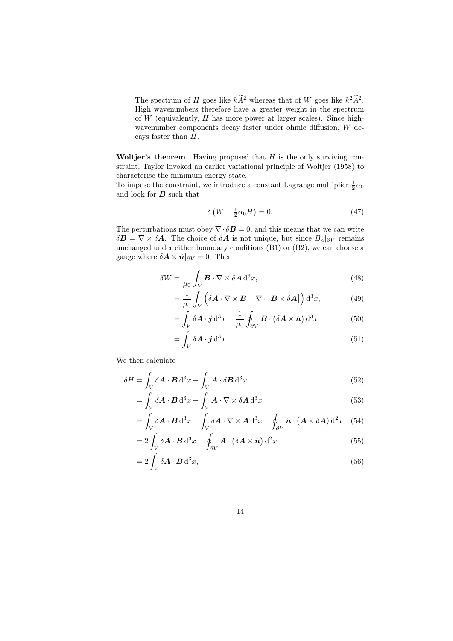The spectrum of H goes like  $k\hat{A}^2$  whereas that of W goes like  $k^2\hat{A}^2$ . High wavenumbers therefore have a greater weight in the spectrum of  $W$  (equivalently,  $H$  has more power at larger scales). Since highwavenumber components decay faster under ohmic diffusion, W decays faster than H.

Woltjer's theorem Having proposed that  $H$  is the only surviving constraint, Taylor invoked an earlier variational principle of Woltjer (1958) to characterise the minimum-energy state.

To impose the constraint, we introduce a constant Lagrange multiplier  $\frac{1}{2}\alpha_0$ and look for  $B$  such that

$$
\delta\left(W - \frac{1}{2}\alpha_0 H\right) = 0.\tag{47}
$$

The perturbations must obey  $\nabla \cdot \delta \mathbf{B} = 0$ , and this means that we can write  $\delta \mathbf{B} = \nabla \times \delta \mathbf{A}$ . The choice of  $\delta \mathbf{A}$  is not unique, but since  $B_n|_{\partial V}$  remains unchanged under either boundary conditions (B1) or (B2), we can choose a gauge where  $\delta \mathbf{A} \times \hat{\mathbf{n}}|_{\partial V} = 0$ . Then

$$
\delta W = \frac{1}{\mu_0} \int_V \boldsymbol{B} \cdot \nabla \times \delta \mathbf{A} \, \mathrm{d}^3 x,\tag{48}
$$

$$
= \frac{1}{\mu_0} \int_V \left( \delta \mathbf{A} \cdot \nabla \times \mathbf{B} - \nabla \cdot \left[ \mathbf{B} \times \delta \mathbf{A} \right] \right) d^3 x,\tag{49}
$$

$$
= \int_{V} \delta \mathbf{A} \cdot \mathbf{j} \, \mathrm{d}^3 x - \frac{1}{\mu_0} \oint_{\partial V} \mathbf{B} \cdot (\delta \mathbf{A} \times \hat{\mathbf{n}}) \, \mathrm{d}^3 x,\tag{50}
$$

$$
= \int_{V} \delta \mathbf{A} \cdot \mathbf{j} \, \mathrm{d}^{3} x. \tag{51}
$$

We then calculate

$$
\delta H = \int_{V} \delta \mathbf{A} \cdot \mathbf{B} \, d^{3}x + \int_{V} \mathbf{A} \cdot \delta \mathbf{B} \, d^{3}x \tag{52}
$$

$$
= \int_{V} \delta \mathbf{A} \cdot \mathbf{B} \, d^{3}x + \int_{V} \mathbf{A} \cdot \nabla \times \delta \mathbf{A} \, d^{3}x \tag{53}
$$

$$
= \int_{V} \delta \mathbf{A} \cdot \mathbf{B} d^{3}x + \int_{V} \delta \mathbf{A} \cdot \nabla \times \mathbf{A} d^{3}x - \oint_{\partial V} \hat{\mathbf{n}} \cdot (\mathbf{A} \times \delta \mathbf{A}) d^{2}x \quad (54)
$$

$$
=2\int_{V} \delta \mathbf{A} \cdot \mathbf{B} d^{3}x - \oint_{\partial V} \mathbf{A} \cdot (\delta \mathbf{A} \times \hat{\mathbf{n}}) d^{2}x \tag{55}
$$

$$
=2\int_{V} \delta \mathbf{A} \cdot \mathbf{B} \,d^{3}x,\tag{56}
$$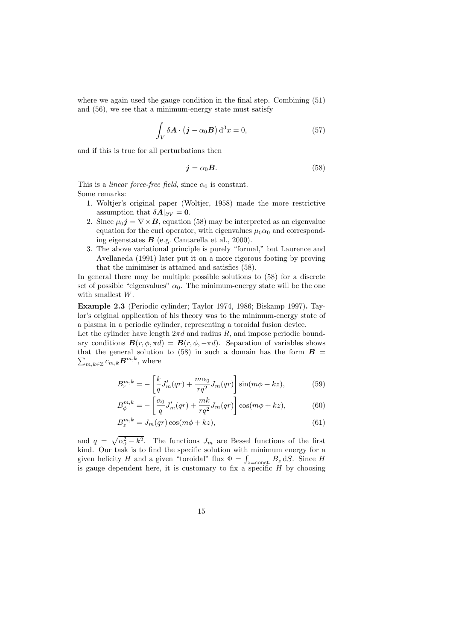where we again used the gauge condition in the final step. Combining (51) and (56), we see that a minimum-energy state must satisfy

$$
\int_{V} \delta \mathbf{A} \cdot (\mathbf{j} - \alpha_0 \mathbf{B}) d^3 x = 0,
$$
\n(57)

and if this is true for all perturbations then

$$
\mathbf{j} = \alpha_0 \mathbf{B}.\tag{58}
$$

This is a *linear force-free field*, since  $\alpha_0$  is constant. Some remarks:

- 1. Woltjer's original paper (Woltjer, 1958) made the more restrictive assumption that  $\delta A|_{\partial V} = 0$ .
- 2. Since  $\mu_0 \mathbf{j} = \nabla \times \mathbf{B}$ , equation (58) may be interpreted as an eigenvalue equation for the curl operator, with eigenvalues  $\mu_0 \alpha_0$  and corresponding eigenstates  $B$  (e.g. Cantarella et al., 2000).
- 3. The above variational principle is purely "formal," but Laurence and Avellaneda (1991) later put it on a more rigorous footing by proving that the minimiser is attained and satisfies (58).

In general there may be multiple possible solutions to (58) for a discrete set of possible "eigenvalues"  $\alpha_0$ . The minimum-energy state will be the one with smallest W.

Example 2.3 (Periodic cylinder; Taylor 1974, 1986; Biskamp 1997). Taylor's original application of his theory was to the minimum-energy state of a plasma in a periodic cylinder, representing a toroidal fusion device.

Let the cylinder have length  $2\pi d$  and radius R, and impose periodic boundary conditions  $\mathbf{B}(r, \phi, \pi d) = \mathbf{B}(r, \phi, -\pi d)$ . Separation of variables shows  $\sum_{m,k\in\mathbb{Z}}c_{m,k}\boldsymbol{B}^{m,k}$ , where that the general solution to (58) in such a domain has the form  $B =$ 

$$
B_r^{m,k} = -\left[\frac{k}{q}J'_m(qr) + \frac{m\alpha_0}{rq^2}J_m(qr)\right]\sin(m\phi + kz),\tag{59}
$$

$$
B_{\phi}^{m,k} = -\left[\frac{\alpha_0}{q}J'_m(qr) + \frac{mk}{rq^2}J_m(qr)\right]\cos(m\phi + kz),\tag{60}
$$

$$
B_z^{m,k} = J_m(qr)\cos(m\phi + kz),\tag{61}
$$

and  $q = \sqrt{\alpha_0^2 - k^2}$ . The functions  $J_m$  are Bessel functions of the first kind. Our task is to find the specific solution with minimum energy for a given helicity H and a given "toroidal" flux  $\Phi = \int_{z=\text{const.}} B_z \, \text{d}S$ . Since H is gauge dependent here, it is customary to fix a specific  $H$  by choosing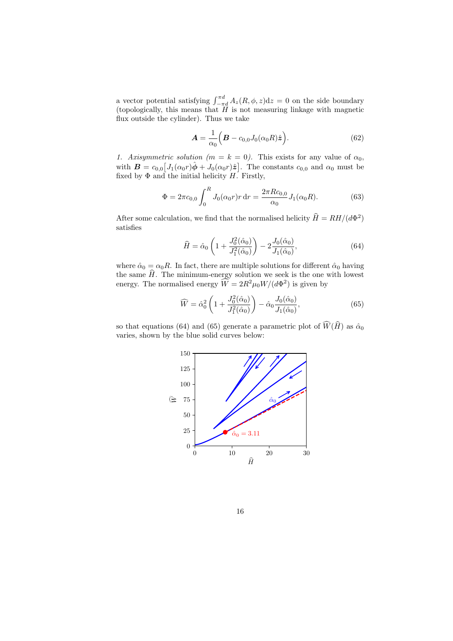a vector potential satisfying  $\int_{-\pi d}^{\pi d} A_z(R, \phi, z) dz = 0$  on the side boundary (topologically, this means that H is not measuring linkage with magnetic flux outside the cylinder). Thus we take

$$
\mathbf{A} = \frac{1}{\alpha_0} \Big( \mathbf{B} - c_{0,0} J_0(\alpha_0 R) \hat{\mathbf{z}} \Big). \tag{62}
$$

1. Axisymmetric solution ( $m = k = 0$ ). This exists for any value of  $\alpha_0$ , with  $\mathbf{B} = c_{0,0} [J_1(\alpha_0 r)\hat{\boldsymbol{\phi}} + J_0(\alpha_0 r)\hat{\boldsymbol{z}}]$ . The constants  $c_{0,0}$  and  $\alpha_0$  must be fixed by  $\Phi$  and the initial helicity  $H$ . Firstly,

$$
\Phi = 2\pi c_{0,0} \int_0^R J_0(\alpha_0 r) r \,dr = \frac{2\pi R c_{0,0}}{\alpha_0} J_1(\alpha_0 R). \tag{63}
$$

After some calculation, we find that the normalised helicity  $\hat{H} = RH/(d\Phi^2)$ satisfies

$$
\widehat{H} = \widehat{\alpha}_0 \left( 1 + \frac{J_0^2(\widehat{\alpha}_0)}{J_1^2(\widehat{\alpha}_0)} \right) - 2 \frac{J_0(\widehat{\alpha}_0)}{J_1(\widehat{\alpha}_0)},
$$
\n(64)

where  $\hat{\alpha}_0 = \alpha_0 R$ . In fact, there are multiple solutions for different  $\hat{\alpha}_0$  having the same  $\hat{H}$ . The minimum-energy solution we seek is the one with lowest energy. The normalised energy  $\hat{W} = 2R^2\mu_0 W/(d\Phi^2)$  is given by

$$
\widehat{W} = \widehat{\alpha}_0^2 \left( 1 + \frac{J_0^2(\widehat{\alpha}_0)}{J_1^2(\widehat{\alpha}_0)} \right) - \widehat{\alpha}_0 \frac{J_0(\widehat{\alpha}_0)}{J_1(\widehat{\alpha}_0)},\tag{65}
$$

so that equations (64) and (65) generate a parametric plot of  $\widehat{W}(\widehat{H})$  as  $\hat{\alpha}_0$ varies, shown by the blue solid curves below:



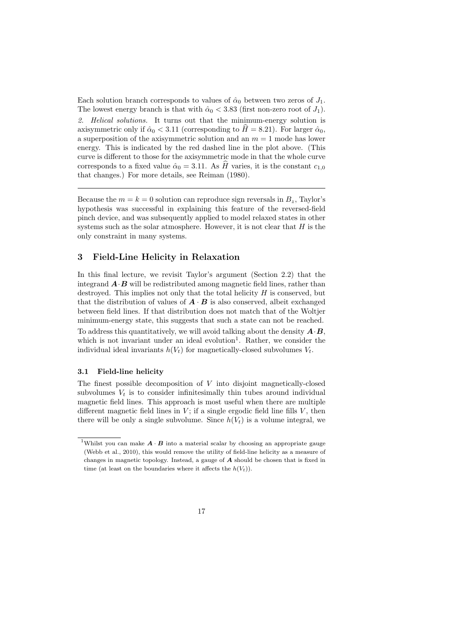Each solution branch corresponds to values of  $\hat{\alpha}_0$  between two zeros of  $J_1$ . The lowest energy branch is that with  $\hat{\alpha}_0 < 3.83$  (first non-zero root of  $J_1$ ). 2. Helical solutions. It turns out that the minimum-energy solution is axisymmetric only if  $\hat{\alpha}_0 < 3.11$  (corresponding to  $\hat{H} = 8.21$ ). For larger  $\hat{\alpha}_0$ , a superposition of the axisymmetric solution and an  $m = 1$  mode has lower energy. This is indicated by the red dashed line in the plot above. (This curve is different to those for the axisymmetric mode in that the whole curve corresponds to a fixed value  $\hat{\alpha}_0 = 3.11$ . As H varies, it is the constant  $c_{1,0}$ that changes.) For more details, see Reiman (1980).

Because the  $m = k = 0$  solution can reproduce sign reversals in  $B_z$ , Taylor's hypothesis was successful in explaining this feature of the reversed-field pinch device, and was subsequently applied to model relaxed states in other systems such as the solar atmosphere. However, it is not clear that  $H$  is the only constraint in many systems.

# 3 Field-Line Helicity in Relaxation

In this final lecture, we revisit Taylor's argument (Section 2.2) that the integrand  $\mathbf{A} \cdot \mathbf{B}$  will be redistributed among magnetic field lines, rather than destroyed. This implies not only that the total helicity  $H$  is conserved, but that the distribution of values of  $\mathbf{A} \cdot \mathbf{B}$  is also conserved, albeit exchanged between field lines. If that distribution does not match that of the Woltjer minimum-energy state, this suggests that such a state can not be reached. To address this quantitatively, we will avoid talking about the density  $\mathbf{A} \cdot \mathbf{B}$ , which is not invariant under an ideal evolution<sup>1</sup>. Rather, we consider the individual ideal invariants  $h(V_t)$  for magnetically-closed subvolumes  $V_t$ .

#### 3.1 Field-line helicity

The finest possible decomposition of  $V$  into disjoint magnetically-closed subvolumes  $V_t$  is to consider infinitesimally thin tubes around individual magnetic field lines. This approach is most useful when there are multiple different magnetic field lines in  $V$ ; if a single ergodic field line fills  $V$ , then there will be only a single subvolume. Since  $h(V_t)$  is a volume integral, we

<sup>&</sup>lt;sup>1</sup>Whilst you can make  $\mathbf{A} \cdot \mathbf{B}$  into a material scalar by choosing an appropriate gauge (Webb et al., 2010), this would remove the utility of field-line helicity as a measure of changes in magnetic topology. Instead, a gauge of A should be chosen that is fixed in time (at least on the boundaries where it affects the  $h(V_t)$ ).

<sup>17</sup>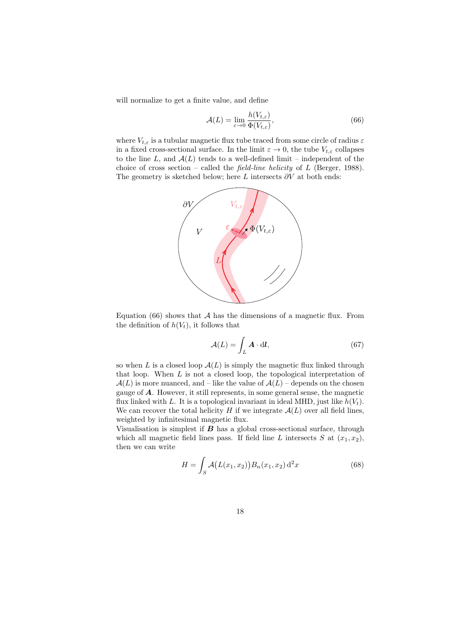will normalize to get a finite value, and define

$$
\mathcal{A}(L) = \lim_{\varepsilon \to 0} \frac{h(V_{t,\varepsilon})}{\Phi(V_{t,\varepsilon})},\tag{66}
$$

where  $V_{t,\varepsilon}$  is a tubular magnetic flux tube traced from some circle of radius  $\varepsilon$ in a fixed cross-sectional surface. In the limit  $\varepsilon \to 0$ , the tube  $V_{t,\varepsilon}$  collapses to the line L, and  $A(L)$  tends to a well-defined limit – independent of the choice of cross section – called the *field-line helicity* of  $L$  (Berger, 1988). The geometry is sketched below; here L intersects  $\partial V$  at both ends:



Equation (66) shows that  $A$  has the dimensions of a magnetic flux. From the definition of  $h(V_t)$ , it follows that

$$
\mathcal{A}(L) = \int_{L} \mathbf{A} \cdot \mathrm{d} \mathbf{l},\tag{67}
$$

so when L is a closed loop  $A(L)$  is simply the magnetic flux linked through that loop. When  $L$  is not a closed loop, the topological interpretation of  $\mathcal{A}(L)$  is more nuanced, and – like the value of  $\mathcal{A}(L)$  – depends on the chosen gauge of A. However, it still represents, in some general sense, the magnetic flux linked with L. It is a topological invariant in ideal MHD, just like  $h(V_t)$ . We can recover the total helicity H if we integrate  $\mathcal{A}(L)$  over all field lines, weighted by infinitesimal magnetic flux.

Visualisation is simplest if  $B$  has a global cross-sectional surface, through which all magnetic field lines pass. If field line L intersects S at  $(x_1, x_2)$ , then we can write

$$
H = \int_{S} \mathcal{A}(L(x_1, x_2)) B_n(x_1, x_2) d^2 x \tag{68}
$$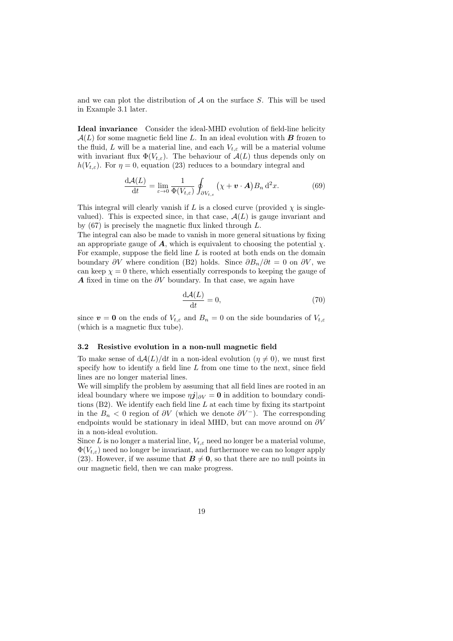and we can plot the distribution of  $A$  on the surface  $S$ . This will be used in Example 3.1 later.

Ideal invariance Consider the ideal-MHD evolution of field-line helicity  $A(L)$  for some magnetic field line L. In an ideal evolution with **B** frozen to the fluid, L will be a material line, and each  $V_{t,\varepsilon}$  will be a material volume with invariant flux  $\Phi(V_{t,\varepsilon})$ . The behaviour of  $\mathcal{A}(L)$  thus depends only on  $h(V_{t,\varepsilon})$ . For  $\eta = 0$ , equation (23) reduces to a boundary integral and

$$
\frac{\mathrm{d}\mathcal{A}(L)}{\mathrm{d}t} = \lim_{\varepsilon \to 0} \frac{1}{\Phi(V_{t,\varepsilon})} \oint_{\partial V_{t,\varepsilon}} (\chi + \mathbf{v} \cdot \mathbf{A}) B_n \, \mathrm{d}^2 x. \tag{69}
$$

This integral will clearly vanish if L is a closed curve (provided  $\chi$  is singlevalued). This is expected since, in that case,  $\mathcal{A}(L)$  is gauge invariant and by (67) is precisely the magnetic flux linked through L.

The integral can also be made to vanish in more general situations by fixing an appropriate gauge of  $\boldsymbol{A}$ , which is equivalent to choosing the potential  $\chi$ . For example, suppose the field line  $L$  is rooted at both ends on the domain boundary  $\partial V$  where condition (B2) holds. Since  $\partial B_n/\partial t = 0$  on  $\partial V$ , we can keep  $\chi = 0$  there, which essentially corresponds to keeping the gauge of A fixed in time on the  $\partial V$  boundary. In that case, we again have

$$
\frac{\mathrm{d}\mathcal{A}(L)}{\mathrm{d}t} = 0,\tag{70}
$$

since  $v = 0$  on the ends of  $V_{t,\varepsilon}$  and  $B_n = 0$  on the side boundaries of  $V_{t,\varepsilon}$ (which is a magnetic flux tube).

#### 3.2 Resistive evolution in a non-null magnetic field

To make sense of  $dA(L)/dt$  in a non-ideal evolution  $(\eta \neq 0)$ , we must first specify how to identify a field line  $L$  from one time to the next, since field lines are no longer material lines.

We will simplify the problem by assuming that all field lines are rooted in an ideal boundary where we impose  $\eta j|_{\partial V} = 0$  in addition to boundary conditions  $(B2)$ . We identify each field line L at each time by fixing its startpoint in the  $B_n < 0$  region of  $\partial V$  (which we denote  $\partial V^-$ ). The corresponding endpoints would be stationary in ideal MHD, but can move around on  $\partial V$ in a non-ideal evolution.

Since L is no longer a material line,  $V_{t,\varepsilon}$  need no longer be a material volume,  $\Phi(V_{t,\varepsilon})$  need no longer be invariant, and furthermore we can no longer apply (23). However, if we assume that  $\mathbf{B} \neq \mathbf{0}$ , so that there are no null points in our magnetic field, then we can make progress.

19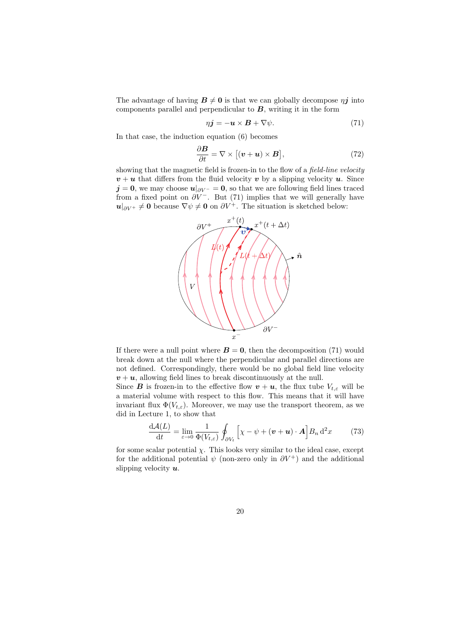The advantage of having  $B \neq 0$  is that we can globally decompose  $\eta i$  into components parallel and perpendicular to  $B$ , writing it in the form

$$
\eta \mathbf{j} = -\mathbf{u} \times \mathbf{B} + \nabla \psi. \tag{71}
$$

In that case, the induction equation (6) becomes

$$
\frac{\partial \boldsymbol{B}}{\partial t} = \nabla \times [(\boldsymbol{v} + \boldsymbol{u}) \times \boldsymbol{B}], \qquad (72)
$$

showing that the magnetic field is frozen-in to the flow of a field-line velocity  $v + u$  that differs from the fluid velocity v by a slipping velocity u. Since  $j = 0$ , we may choose  $u|_{\partial V^-} = 0$ , so that we are following field lines traced from a fixed point on  $\partial V^-$ . But (71) implies that we will generally have  $u|_{\partial V^+}\neq 0$  because  $\nabla \psi \neq 0$  on  $\partial V^+$ . The situation is sketched below:



If there were a null point where  $\mathbf{B} = \mathbf{0}$ , then the decomposition (71) would break down at the null where the perpendicular and parallel directions are not defined. Correspondingly, there would be no global field line velocity  $v + u$ , allowing field lines to break discontinuously at the null.

Since **B** is frozen-in to the effective flow  $v + u$ , the flux tube  $V_{t,\varepsilon}$  will be a material volume with respect to this flow. This means that it will have invariant flux  $\Phi(V_{t,\varepsilon})$ . Moreover, we may use the transport theorem, as we did in Lecture 1, to show that

$$
\frac{\mathrm{d}\mathcal{A}(L)}{\mathrm{d}t} = \lim_{\varepsilon \to 0} \frac{1}{\Phi(V_{t,\varepsilon})} \oint_{\partial V_t} \left[ \chi - \psi + (\boldsymbol{v} + \boldsymbol{u}) \cdot \boldsymbol{A} \right] B_n \, \mathrm{d}^2 x \tag{73}
$$

for some scalar potential  $\chi$ . This looks very similar to the ideal case, except for the additional potential  $\psi$  (non-zero only in  $\partial V^+$ ) and the additional slipping velocity  $u$ .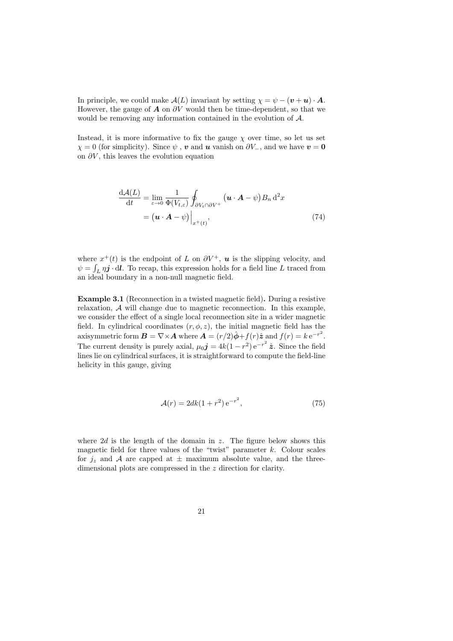In principle, we could make  $\mathcal{A}(L)$  invariant by setting  $\chi = \psi - (\mathbf{v} + \mathbf{u}) \cdot \mathbf{A}$ . However, the gauge of  $\boldsymbol{A}$  on  $\partial V$  would then be time-dependent, so that we would be removing any information contained in the evolution of A.

Instead, it is more informative to fix the gauge  $\chi$  over time, so let us set  $\chi = 0$  (for simplicity). Since  $\psi$ , v and u vanish on  $\partial V_-\$ , and we have  $v = 0$ on  $\partial V$ , this leaves the evolution equation

$$
\frac{d\mathcal{A}(L)}{dt} = \lim_{\varepsilon \to 0} \frac{1}{\Phi(V_{t,\varepsilon})} \oint_{\partial V_t \cap \partial V^+} (\mathbf{u} \cdot \mathbf{A} - \psi) B_n \, d^2 x
$$

$$
= (\mathbf{u} \cdot \mathbf{A} - \psi) \Big|_{x^+(t)}, \tag{74}
$$

where  $x^+(t)$  is the endpoint of L on  $\partial V^+$ , **u** is the slipping velocity, and  $\psi = \int_L \eta \mathbf{j} \cdot d\mathbf{l}$ . To recap, this expression holds for a field line L traced from an ideal boundary in a non-null magnetic field.

Example 3.1 (Reconnection in a twisted magnetic field). During a resistive relaxation, A will change due to magnetic reconnection. In this example, we consider the effect of a single local reconnection site in a wider magnetic field. In cylindrical coordinates  $(r, \phi, z)$ , the initial magnetic field has the axisymmetric form  $\mathbf{B} = \nabla \times \mathbf{A}$  where  $\mathbf{A} = (r/2)\hat{\boldsymbol{\phi}} + f(r)\hat{\boldsymbol{z}}$  and  $f(r) = k e^{-r^2}$ . The current density is purely axial,  $\mu_0 \mathbf{j} = 4k(1 - r^2) e^{-r^2} \hat{\mathbf{z}}$ . Since the field lines lie on cylindrical surfaces, it is straightforward to compute the field-line helicity in this gauge, giving

$$
\mathcal{A}(r) = 2dk(1+r^2) e^{-r^2},\tag{75}
$$

where  $2d$  is the length of the domain in z. The figure below shows this magnetic field for three values of the "twist" parameter  $k$ . Colour scales for  $j_z$  and A are capped at  $\pm$  maximum absolute value, and the threedimensional plots are compressed in the z direction for clarity.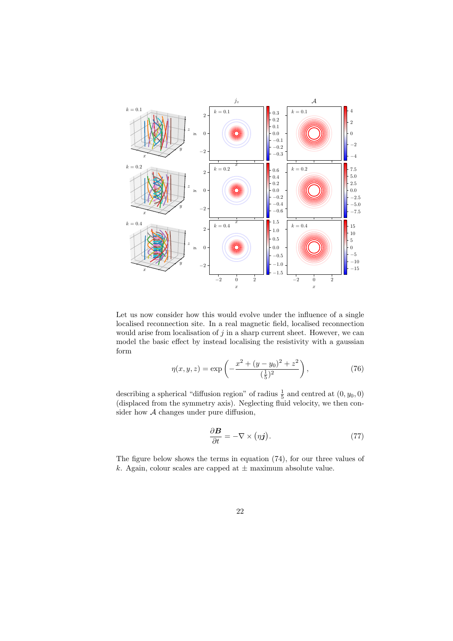

Let us now consider how this would evolve under the influence of a single localised reconnection site. In a real magnetic field, localised reconnection would arise from localisation of  $j$  in a sharp current sheet. However, we can model the basic effect by instead localising the resistivity with a gaussian form

$$
\eta(x, y, z) = \exp\left(-\frac{x^2 + (y - y_0)^2 + z^2}{(\frac{1}{5})^2}\right),\tag{76}
$$

describing a spherical "diffusion region" of radius  $\frac{1}{5}$  and centred at  $(0, y_0, 0)$ (displaced from the symmetry axis). Neglecting fluid velocity, we then consider how  $A$  changes under pure diffusion,

$$
\frac{\partial \mathbf{B}}{\partial t} = -\nabla \times (\eta \mathbf{j}).\tag{77}
$$

The figure below shows the terms in equation (74), for our three values of k. Again, colour scales are capped at  $\pm$  maximum absolute value.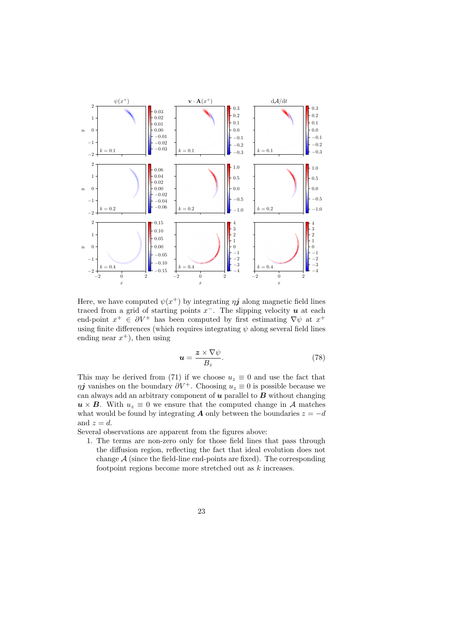

Here, we have computed  $\psi(x^+)$  by integrating  $\eta \mathbf{j}$  along magnetic field lines traced from a grid of starting points  $x^-$ . The slipping velocity  $u$  at each end-point  $x^+ \in \partial V^+$  has been computed by first estimating  $\nabla \psi$  at  $x^+$ using finite differences (which requires integrating  $\psi$  along several field lines ending near  $x^+$ ), then using

$$
u = \frac{z \times \nabla \psi}{B_z}.
$$
 (78)

This may be derived from (71) if we choose  $u_z \equiv 0$  and use the fact that  $\eta j$  vanishes on the boundary  $\partial V^+$ . Choosing  $u_z \equiv 0$  is possible because we can always add an arbitrary component of  $u$  parallel to  $B$  without changing  $u \times B$ . With  $u_z \equiv 0$  we ensure that the computed change in A matches what would be found by integrating **A** only between the boundaries  $z = -d$ and  $z = d$ .

Several observations are apparent from the figures above:

1. The terms are non-zero only for those field lines that pass through the diffusion region, reflecting the fact that ideal evolution does not change  $A$  (since the field-line end-points are fixed). The corresponding footpoint regions become more stretched out as k increases.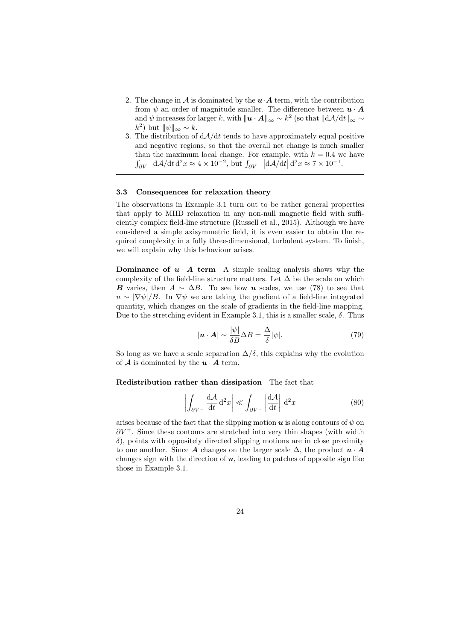- 2. The change in A is dominated by the  $u \cdot A$  term, with the contribution from  $\psi$  an order of magnitude smaller. The difference between  $\mathbf{u} \cdot \mathbf{A}$ and  $\psi$  increases for larger k, with  $\|\mathbf{u} \cdot \mathbf{A}\|_{\infty} \sim k^2$  (so that  $\|\mathrm{d}\mathcal{A}/\mathrm{d}t\|_{\infty} \sim$  $(k^2)$  but  $\|\psi\|_{\infty} \sim k$ .
- 3. The distribution of  $dA/dt$  tends to have approximately equal positive and negative regions, so that the overall net change is much smaller than the maximum local change. For example, with  $k = 0.4$  we have  $\int_{\partial V^-} d\mathcal{A}/dt d^2x \approx 4 \times 10^{-2}$ , but  $\int_{\partial V^-} |d\mathcal{A}/dt| d^2x \approx 7 \times 10^{-1}$ .

#### 3.3 Consequences for relaxation theory

The observations in Example 3.1 turn out to be rather general properties that apply to MHD relaxation in any non-null magnetic field with sufficiently complex field-line structure (Russell et al., 2015). Although we have considered a simple axisymmetric field, it is even easier to obtain the required complexity in a fully three-dimensional, turbulent system. To finish, we will explain why this behaviour arises.

**Dominance of**  $u \cdot A$  **term** A simple scaling analysis shows why the complexity of the field-line structure matters. Let  $\Delta$  be the scale on which **B** varies, then  $A \sim \Delta B$ . To see how **u** scales, we use (78) to see that  $u \sim |\nabla \psi|/B$ . In  $\nabla \psi$  we are taking the gradient of a field-line integrated quantity, which changes on the scale of gradients in the field-line mapping. Due to the stretching evident in Example 3.1, this is a smaller scale,  $\delta$ . Thus

$$
|\mathbf{u} \cdot \mathbf{A}| \sim \frac{|\psi|}{\delta B} \Delta B = \frac{\Delta}{\delta} |\psi|. \tag{79}
$$

So long as we have a scale separation  $\Delta/\delta$ , this explains why the evolution of A is dominated by the  $u \cdot A$  term.

Redistribution rather than dissipation The fact that

$$
\left| \int_{\partial V^{-}} \frac{\mathrm{d}A}{\mathrm{d}t} \mathrm{d}^2 x \right| \ll \int_{\partial V^{-}} \left| \frac{\mathrm{d}A}{\mathrm{d}t} \right| \mathrm{d}^2 x \tag{80}
$$

arises because of the fact that the slipping motion  $\boldsymbol{u}$  is along contours of  $\psi$  on  $\partial V^+$ . Since these contours are stretched into very thin shapes (with width  $\delta$ ), points with oppositely directed slipping motions are in close proximity to one another. Since A changes on the larger scale  $\Delta$ , the product  $\boldsymbol{u} \cdot \boldsymbol{A}$ changes sign with the direction of  $u$ , leading to patches of opposite sign like those in Example 3.1.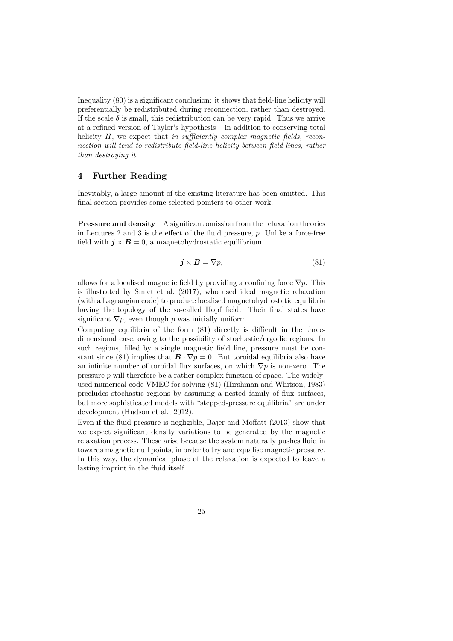Inequality (80) is a significant conclusion: it shows that field-line helicity will preferentially be redistributed during reconnection, rather than destroyed. If the scale  $\delta$  is small, this redistribution can be very rapid. Thus we arrive at a refined version of Taylor's hypothesis – in addition to conserving total helicity  $H$ , we expect that in sufficiently complex magnetic fields, reconnection will tend to redistribute field-line helicity between field lines, rather than destroying it.

# 4 Further Reading

Inevitably, a large amount of the existing literature has been omitted. This final section provides some selected pointers to other work.

**Pressure and density** A significant omission from the relaxation theories in Lectures 2 and 3 is the effect of the fluid pressure,  $p$ . Unlike a force-free field with  $j \times B = 0$ , a magnetohydrostatic equilibrium,

$$
\mathbf{j} \times \mathbf{B} = \nabla p,\tag{81}
$$

allows for a localised magnetic field by providing a confining force  $\nabla p$ . This is illustrated by Smiet et al. (2017), who used ideal magnetic relaxation (with a Lagrangian code) to produce localised magnetohydrostatic equilibria having the topology of the so-called Hopf field. Their final states have significant  $\nabla p$ , even though p was initially uniform.

Computing equilibria of the form (81) directly is difficult in the threedimensional case, owing to the possibility of stochastic/ergodic regions. In such regions, filled by a single magnetic field line, pressure must be constant since (81) implies that  $\mathbf{B} \cdot \nabla p = 0$ . But toroidal equilibria also have an infinite number of toroidal flux surfaces, on which  $\nabla p$  is non-zero. The pressure  $p$  will therefore be a rather complex function of space. The widelyused numerical code VMEC for solving (81) (Hirshman and Whitson, 1983) precludes stochastic regions by assuming a nested family of flux surfaces, but more sophisticated models with "stepped-pressure equilibria" are under development (Hudson et al., 2012).

Even if the fluid pressure is negligible, Bajer and Moffatt (2013) show that we expect significant density variations to be generated by the magnetic relaxation process. These arise because the system naturally pushes fluid in towards magnetic null points, in order to try and equalise magnetic pressure. In this way, the dynamical phase of the relaxation is expected to leave a lasting imprint in the fluid itself.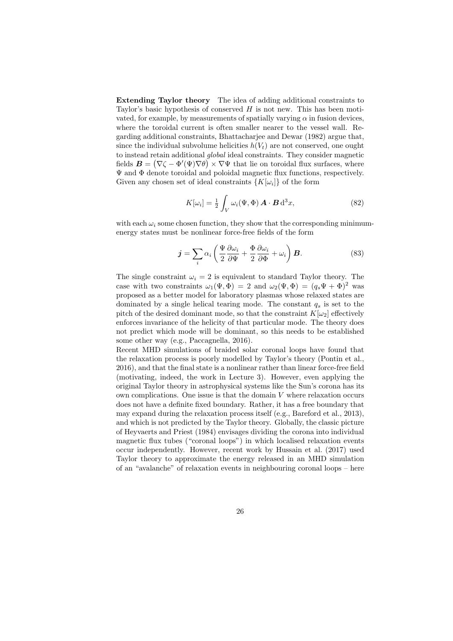Extending Taylor theory The idea of adding additional constraints to Taylor's basic hypothesis of conserved  $H$  is not new. This has been motivated, for example, by measurements of spatially varying  $\alpha$  in fusion devices, where the toroidal current is often smaller nearer to the vessel wall. Regarding additional constraints, Bhattacharjee and Dewar (1982) argue that, since the individual subvolume helicities  $h(V_t)$  are not conserved, one ought to instead retain additional global ideal constraints. They consider magnetic fields  $\mathbf{B} = (\nabla \zeta - \Phi'(\Psi) \nabla \theta) \times \nabla \Psi$  that lie on toroidal flux surfaces, where Ψ and Φ denote toroidal and poloidal magnetic flux functions, respectively. Given any chosen set of ideal constraints  $\{K[\omega_i]\}$  of the form

$$
K[\omega_i] = \frac{1}{2} \int_V \omega_i(\Psi, \Phi) \mathbf{A} \cdot \mathbf{B} \, d^3x,\tag{82}
$$

with each  $\omega_i$  some chosen function, they show that the corresponding minimumenergy states must be nonlinear force-free fields of the form

$$
\mathbf{j} = \sum_{i} \alpha_i \left( \frac{\Psi}{2} \frac{\partial \omega_i}{\partial \Psi} + \frac{\Phi}{2} \frac{\partial \omega_i}{\partial \Phi} + \omega_i \right) \mathbf{B}.
$$
 (83)

The single constraint  $\omega_i = 2$  is equivalent to standard Taylor theory. The case with two constraints  $\omega_1(\Psi, \Phi) = 2$  and  $\omega_2(\Psi, \Phi) = (q_s \Psi + \Phi)^2$  was proposed as a better model for laboratory plasmas whose relaxed states are dominated by a single helical tearing mode. The constant  $q_s$  is set to the pitch of the desired dominant mode, so that the constraint  $K[\omega_2]$  effectively enforces invariance of the helicity of that particular mode. The theory does not predict which mode will be dominant, so this needs to be established some other way (e.g., Paccagnella, 2016).

Recent MHD simulations of braided solar coronal loops have found that the relaxation process is poorly modelled by Taylor's theory (Pontin et al., 2016), and that the final state is a nonlinear rather than linear force-free field (motivating, indeed, the work in Lecture 3). However, even applying the original Taylor theory in astrophysical systems like the Sun's corona has its own complications. One issue is that the domain  $V$  where relaxation occurs does not have a definite fixed boundary. Rather, it has a free boundary that may expand during the relaxation process itself (e.g., Bareford et al., 2013), and which is not predicted by the Taylor theory. Globally, the classic picture of Heyvaerts and Priest (1984) envisages dividing the corona into individual magnetic flux tubes ("coronal loops") in which localised relaxation events occur independently. However, recent work by Hussain et al. (2017) used Taylor theory to approximate the energy released in an MHD simulation of an "avalanche" of relaxation events in neighbouring coronal loops – here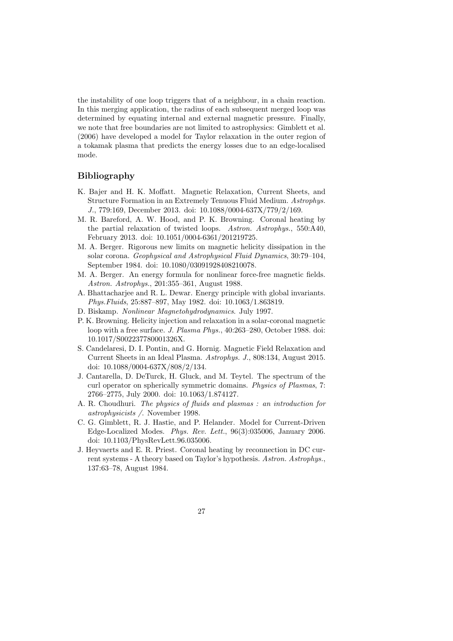the instability of one loop triggers that of a neighbour, in a chain reaction. In this merging application, the radius of each subsequent merged loop was determined by equating internal and external magnetic pressure. Finally, we note that free boundaries are not limited to astrophysics: Gimblett et al. (2006) have developed a model for Taylor relaxation in the outer region of a tokamak plasma that predicts the energy losses due to an edge-localised mode.

# Bibliography

- K. Bajer and H. K. Moffatt. Magnetic Relaxation, Current Sheets, and Structure Formation in an Extremely Tenuous Fluid Medium. Astrophys. J., 779:169, December 2013. doi: 10.1088/0004-637X/779/2/169.
- M. R. Bareford, A. W. Hood, and P. K. Browning. Coronal heating by the partial relaxation of twisted loops. Astron. Astrophys., 550:A40, February 2013. doi: 10.1051/0004-6361/201219725.
- M. A. Berger. Rigorous new limits on magnetic helicity dissipation in the solar corona. Geophysical and Astrophysical Fluid Dynamics, 30:79–104, September 1984. doi: 10.1080/03091928408210078.
- M. A. Berger. An energy formula for nonlinear force-free magnetic fields. Astron. Astrophys., 201:355–361, August 1988.
- A. Bhattacharjee and R. L. Dewar. Energy principle with global invariants. Phys.Fluids, 25:887–897, May 1982. doi: 10.1063/1.863819.
- D. Biskamp. Nonlinear Magnetohydrodynamics. July 1997.
- P. K. Browning. Helicity injection and relaxation in a solar-coronal magnetic loop with a free surface. J. Plasma Phys., 40:263–280, October 1988. doi: 10.1017/S002237780001326X.
- S. Candelaresi, D. I. Pontin, and G. Hornig. Magnetic Field Relaxation and Current Sheets in an Ideal Plasma. Astrophys. J., 808:134, August 2015. doi: 10.1088/0004-637X/808/2/134.
- J. Cantarella, D. DeTurck, H. Gluck, and M. Teytel. The spectrum of the curl operator on spherically symmetric domains. Physics of Plasmas, 7: 2766–2775, July 2000. doi: 10.1063/1.874127.
- A. R. Choudhuri. The physics of fluids and plasmas : an introduction for astrophysicists /. November 1998.
- C. G. Gimblett, R. J. Hastie, and P. Helander. Model for Current-Driven Edge-Localized Modes. Phys. Rev. Lett., 96(3):035006, January 2006. doi: 10.1103/PhysRevLett.96.035006.
- J. Heyvaerts and E. R. Priest. Coronal heating by reconnection in DC current systems - A theory based on Taylor's hypothesis. Astron. Astrophys., 137:63–78, August 1984.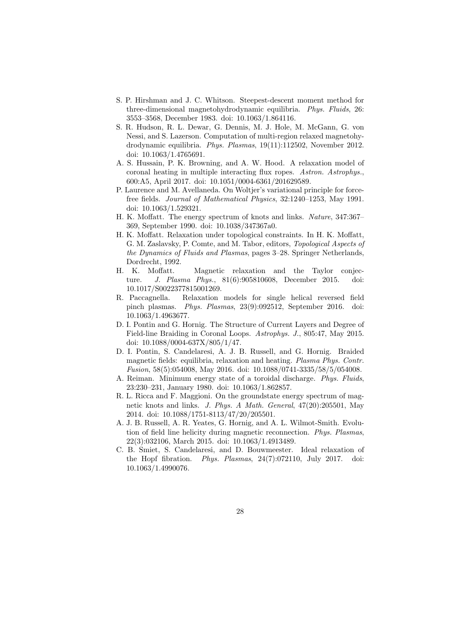- S. P. Hirshman and J. C. Whitson. Steepest-descent moment method for three-dimensional magnetohydrodynamic equilibria. Phys. Fluids, 26: 3553–3568, December 1983. doi: 10.1063/1.864116.
- S. R. Hudson, R. L. Dewar, G. Dennis, M. J. Hole, M. McGann, G. von Nessi, and S. Lazerson. Computation of multi-region relaxed magnetohydrodynamic equilibria. Phys. Plasmas, 19(11):112502, November 2012. doi: 10.1063/1.4765691.
- A. S. Hussain, P. K. Browning, and A. W. Hood. A relaxation model of coronal heating in multiple interacting flux ropes. Astron. Astrophys., 600:A5, April 2017. doi: 10.1051/0004-6361/201629589.
- P. Laurence and M. Avellaneda. On Woltjer's variational principle for forcefree fields. Journal of Mathematical Physics, 32:1240–1253, May 1991. doi: 10.1063/1.529321.
- H. K. Moffatt. The energy spectrum of knots and links. Nature, 347:367– 369, September 1990. doi: 10.1038/347367a0.
- H. K. Moffatt. Relaxation under topological constraints. In H. K. Moffatt, G. M. Zaslavsky, P. Comte, and M. Tabor, editors, Topological Aspects of the Dynamics of Fluids and Plasmas, pages 3–28. Springer Netherlands, Dordrecht, 1992.
- H. K. Moffatt. Magnetic relaxation and the Taylor conjecture. J. Plasma Phys., 81(6):905810608, December 2015. doi: 10.1017/S0022377815001269.
- R. Paccagnella. Relaxation models for single helical reversed field pinch plasmas. Phys. Plasmas, 23(9):092512, September 2016. doi: 10.1063/1.4963677.
- D. I. Pontin and G. Hornig. The Structure of Current Layers and Degree of Field-line Braiding in Coronal Loops. Astrophys. J., 805:47, May 2015. doi: 10.1088/0004-637X/805/1/47.
- D. I. Pontin, S. Candelaresi, A. J. B. Russell, and G. Hornig. Braided magnetic fields: equilibria, relaxation and heating. Plasma Phys. Contr. Fusion, 58(5):054008, May 2016. doi: 10.1088/0741-3335/58/5/054008.
- A. Reiman. Minimum energy state of a toroidal discharge. Phys. Fluids, 23:230–231, January 1980. doi: 10.1063/1.862857.
- R. L. Ricca and F. Maggioni. On the groundstate energy spectrum of magnetic knots and links. J. Phys. A Math. General, 47(20):205501, May 2014. doi: 10.1088/1751-8113/47/20/205501.
- A. J. B. Russell, A. R. Yeates, G. Hornig, and A. L. Wilmot-Smith. Evolution of field line helicity during magnetic reconnection. Phys. Plasmas, 22(3):032106, March 2015. doi: 10.1063/1.4913489.
- C. B. Smiet, S. Candelaresi, and D. Bouwmeester. Ideal relaxation of the Hopf fibration. Phys. Plasmas, 24(7):072110, July 2017. doi: 10.1063/1.4990076.